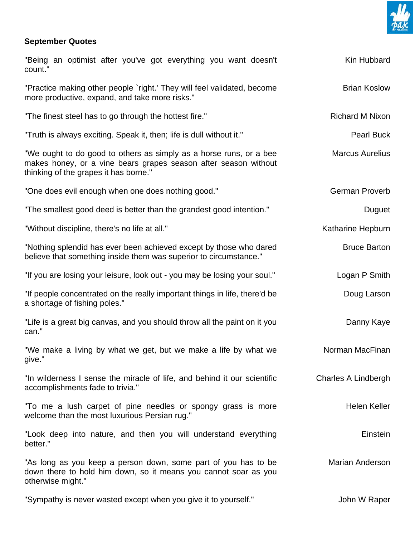

## **September Quotes**

| "Being an optimist after you've got everything you want doesn't<br>count."                                                                                                     | Kin Hubbard            |
|--------------------------------------------------------------------------------------------------------------------------------------------------------------------------------|------------------------|
| "Practice making other people `right.' They will feel validated, become<br>more productive, expand, and take more risks."                                                      | <b>Brian Koslow</b>    |
| "The finest steel has to go through the hottest fire."                                                                                                                         | <b>Richard M Nixon</b> |
| "Truth is always exciting. Speak it, then; life is dull without it."                                                                                                           | <b>Pearl Buck</b>      |
| "We ought to do good to others as simply as a horse runs, or a bee<br>makes honey, or a vine bears grapes season after season without<br>thinking of the grapes it has borne." | <b>Marcus Aurelius</b> |
| "One does evil enough when one does nothing good."                                                                                                                             | German Proverb         |
| "The smallest good deed is better than the grandest good intention."                                                                                                           | Duguet                 |
| "Without discipline, there's no life at all."                                                                                                                                  | Katharine Hepburn      |
| "Nothing splendid has ever been achieved except by those who dared<br>believe that something inside them was superior to circumstance."                                        | <b>Bruce Barton</b>    |
| "If you are losing your leisure, look out - you may be losing your soul."                                                                                                      | Logan P Smith          |
| "If people concentrated on the really important things in life, there'd be<br>a shortage of fishing poles."                                                                    | Doug Larson            |
| "Life is a great big canvas, and you should throw all the paint on it you<br>can."                                                                                             | Danny Kaye             |
| "We make a living by what we get, but we make a life by what we<br>give."                                                                                                      | Norman MacFinan        |
| "In wilderness I sense the miracle of life, and behind it our scientific<br>accomplishments fade to trivia."                                                                   | Charles A Lindbergh    |
| "To me a lush carpet of pine needles or spongy grass is more<br>welcome than the most luxurious Persian rug."                                                                  | <b>Helen Keller</b>    |
| "Look deep into nature, and then you will understand everything<br>better."                                                                                                    | Einstein               |
| "As long as you keep a person down, some part of you has to be<br>down there to hold him down, so it means you cannot soar as you<br>otherwise might."                         | <b>Marian Anderson</b> |
| "Sympathy is never wasted except when you give it to yourself."                                                                                                                | John W Raper           |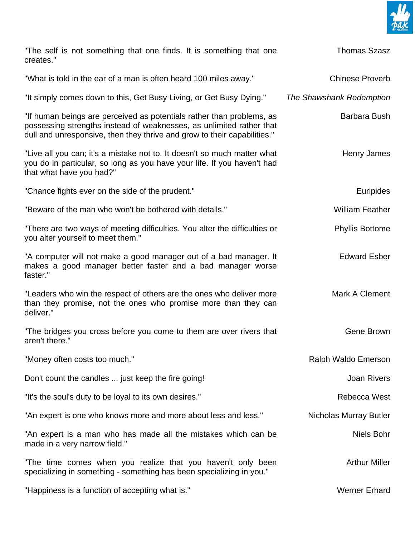

| "The self is not something that one finds. It is something that one<br>creates."                                                                                                                                          | <b>Thomas Szasz</b>           |
|---------------------------------------------------------------------------------------------------------------------------------------------------------------------------------------------------------------------------|-------------------------------|
| "What is told in the ear of a man is often heard 100 miles away."                                                                                                                                                         | <b>Chinese Proverb</b>        |
| "It simply comes down to this, Get Busy Living, or Get Busy Dying."                                                                                                                                                       | The Shawshank Redemption      |
| "If human beings are perceived as potentials rather than problems, as<br>possessing strengths instead of weaknesses, as unlimited rather that<br>dull and unresponsive, then they thrive and grow to their capabilities." | Barbara Bush                  |
| "Live all you can; it's a mistake not to. It doesn't so much matter what<br>you do in particular, so long as you have your life. If you haven't had<br>that what have you had?"                                           | Henry James                   |
| "Chance fights ever on the side of the prudent."                                                                                                                                                                          | Euripides                     |
| "Beware of the man who won't be bothered with details."                                                                                                                                                                   | <b>William Feather</b>        |
| "There are two ways of meeting difficulties. You alter the difficulties or<br>you alter yourself to meet them."                                                                                                           | <b>Phyllis Bottome</b>        |
| "A computer will not make a good manager out of a bad manager. It<br>makes a good manager better faster and a bad manager worse<br>faster."                                                                               | <b>Edward Esber</b>           |
| "Leaders who win the respect of others are the ones who deliver more<br>than they promise, not the ones who promise more than they can<br>deliver."                                                                       | Mark A Clement                |
| "The bridges you cross before you come to them are over rivers that<br>aren't there."                                                                                                                                     | Gene Brown                    |
| "Money often costs too much."                                                                                                                                                                                             | Ralph Waldo Emerson           |
| Don't count the candles  just keep the fire going!                                                                                                                                                                        | <b>Joan Rivers</b>            |
| "It's the soul's duty to be loyal to its own desires."                                                                                                                                                                    | Rebecca West                  |
| "An expert is one who knows more and more about less and less."                                                                                                                                                           | <b>Nicholas Murray Butler</b> |
| "An expert is a man who has made all the mistakes which can be<br>made in a very narrow field."                                                                                                                           | <b>Niels Bohr</b>             |
| "The time comes when you realize that you haven't only been<br>specializing in something - something has been specializing in you."                                                                                       | <b>Arthur Miller</b>          |
| "Happiness is a function of accepting what is."                                                                                                                                                                           | <b>Werner Erhard</b>          |